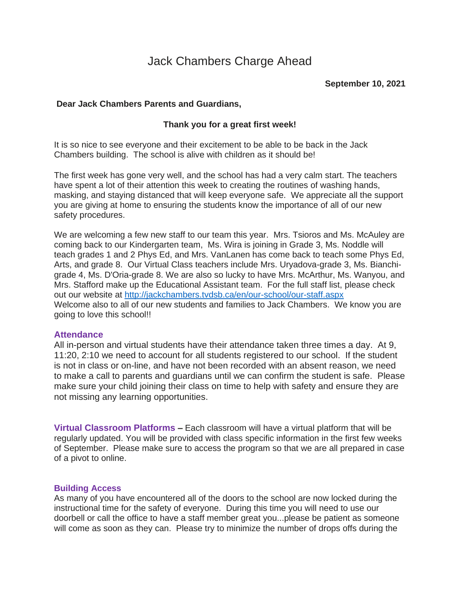# Jack Chambers Charge Ahead

# **Dear Jack Chambers Parents and Guardians,**

### **Thank you for a great first week!**

It is so nice to see everyone and their excitement to be able to be back in the Jack Chambers building. The school is alive with children as it should be!

The first week has gone very well, and the school has had a very calm start. The teachers have spent a lot of their attention this week to creating the routines of washing hands, masking, and staying distanced that will keep everyone safe. We appreciate all the support you are giving at home to ensuring the students know the importance of all of our new safety procedures.

We are welcoming a few new staff to our team this year. Mrs. Tsioros and Ms. McAuley are coming back to our Kindergarten team, Ms. Wira is joining in Grade 3, Ms. Noddle will teach grades 1 and 2 Phys Ed, and Mrs. VanLanen has come back to teach some Phys Ed, Arts, and grade 8. Our Virtual Class teachers include Mrs. Uryadova-grade 3, Ms. Bianchigrade 4, Ms. D'Oria-grade 8. We are also so lucky to have Mrs. McArthur, Ms. Wanyou, and Mrs. Stafford make up the Educational Assistant team. For the full staff list, please check out our website at <http://jackchambers.tvdsb.ca/en/our-school/our-staff.aspx> Welcome also to all of our new students and families to Jack Chambers. We know you are going to love this school!!

#### **Attendance**

All in-person and virtual students have their attendance taken three times a day. At 9, 11:20, 2:10 we need to account for all students registered to our school. If the student is not in class or on-line, and have not been recorded with an absent reason, we need to make a call to parents and guardians until we can confirm the student is safe. Please make sure your child joining their class on time to help with safety and ensure they are not missing any learning opportunities.

**Virtual Classroom Platforms –** Each classroom will have a virtual platform that will be regularly updated. You will be provided with class specific information in the first few weeks of September. Please make sure to access the program so that we are all prepared in case of a pivot to online.

#### **Building Access**

As many of you have encountered all of the doors to the school are now locked during the instructional time for the safety of everyone. During this time you will need to use our doorbell or call the office to have a staff member great you...please be patient as someone will come as soon as they can. Please try to minimize the number of drops offs during the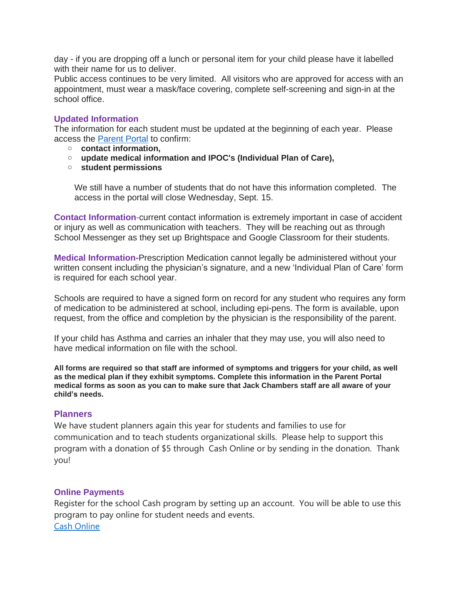day - if you are dropping off a lunch or personal item for your child please have it labelled with their name for us to deliver.

Public access continues to be very limited. All visitors who are approved for access with an appointment, must wear a mask/face covering, complete self-screening and sign-in at the school office.

# **Updated Information**

The information for each student must be updated at the beginning of each year. Please access the [Parent](https://schoolapps2.tvdsb.ca/parents/tvdsb_parents/) Portal to confirm:

- o **contact information,**
- o **update medical information and IPOC's (Individual Plan of Care),**
- o **student permissions**

We still have a number of students that do not have this information completed. The access in the portal will close Wednesday, Sept. 15.

**Contact Information**-current contact information is extremely important in case of accident or injury as well as communication with teachers. They will be reaching out as through School Messenger as they set up Brightspace and Google Classroom for their students.

**Medical Information-**Prescription Medication cannot legally be administered without your written consent including the physician's signature, and a new 'Individual Plan of Care' form is required for each school year.

Schools are required to have a signed form on record for any student who requires any form of medication to be administered at school, including epi-pens. The form is available, upon request, from the office and completion by the physician is the responsibility of the parent.

If your child has Asthma and carries an inhaler that they may use, you will also need to have medical information on file with the school.

**All forms are required so that staff are informed of symptoms and triggers for your child, as well as the medical plan if they exhibit symptoms. Complete this information in the Parent Portal** medical forms as soon as you can to make sure that Jack Chambers staff are all aware of your **child's needs.**

# **Planners**

We have student planners again this year for students and families to use for communication and to teach students organizational skills. Please help to support this program with a donation of \$5 through Cash Online or by sending in the donation. Thank you!

# **Online Payments**

Register for the school Cash program by setting up an account. You will be able to use this program to pay online for student needs and events. Cash [Online](http://jackchambers.tvdsb.ca/en/parents/online-payments.aspx)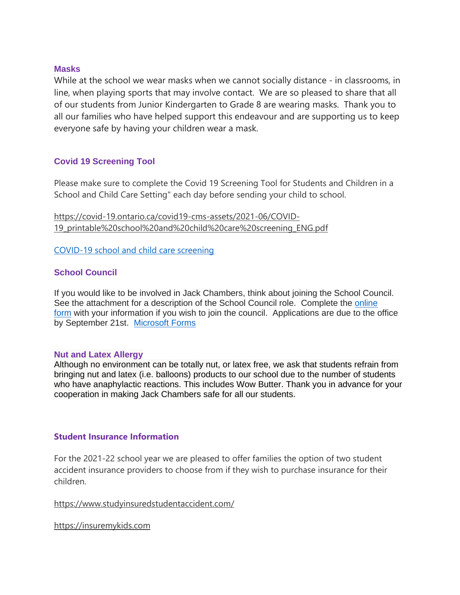#### **Masks**

While at the school we wear masks when we cannot socially distance - in classrooms, in line, when playing sports that may involve contact. We are so pleased to share that all of our students from Junior Kindergarten to Grade 8 are wearing masks. Thank you to all our families who have helped support this endeavour and are supporting us to keep everyone safe by having your children wear a mask.

# **Covid 19 Screening Tool**

Please make sure to complete the Covid 19 Screening Tool for Students and Children in a School and Child Care Setting" each day before sending your child to school.

[https://covid-19.ontario.ca/covid19-cms-assets/2021-06/COVID-](http://track.spe.schoolmessenger.com/f/a/J8TN9W086oXdx7BxNS3PlA~~/AAAAAQA~/RgRjGPFqP0R7aHR0cHM6Ly9jb3ZpZC0xOS5vbnRhcmlvLmNhL2NvdmlkMTktY21zLWFzc2V0cy8yMDIxLTA2L0NPVklELTE5X3ByaW50YWJsZSUyMHNjaG9vbCUyMGFuZCUyMGNoaWxkJTIwY2FyZSUyMHNjcmVlbmluZ19FTkcucGRmVwdzY2hvb2xtQgphMOq9N2Hp1vxbUhRqb21hcnRpbjc3QGdtYWlsLmNvbVgEAAAAAg~~)[19\\_printable%20school%20and%20child%20care%20screening\\_ENG.pdf](http://track.spe.schoolmessenger.com/f/a/J8TN9W086oXdx7BxNS3PlA~~/AAAAAQA~/RgRjGPFqP0R7aHR0cHM6Ly9jb3ZpZC0xOS5vbnRhcmlvLmNhL2NvdmlkMTktY21zLWFzc2V0cy8yMDIxLTA2L0NPVklELTE5X3ByaW50YWJsZSUyMHNjaG9vbCUyMGFuZCUyMGNoaWxkJTIwY2FyZSUyMHNjcmVlbmluZ19FTkcucGRmVwdzY2hvb2xtQgphMOq9N2Hp1vxbUhRqb21hcnRpbjc3QGdtYWlsLmNvbVgEAAAAAg~~)

[COVID-19](http://track.spe.schoolmessenger.com/f/a/J8TN9W086oXdx7BxNS3PlA~~/AAAAAQA~/RgRjGPFqP0R7aHR0cHM6Ly9jb3ZpZC0xOS5vbnRhcmlvLmNhL2NvdmlkMTktY21zLWFzc2V0cy8yMDIxLTA2L0NPVklELTE5X3ByaW50YWJsZSUyMHNjaG9vbCUyMGFuZCUyMGNoaWxkJTIwY2FyZSUyMHNjcmVlbmluZ19FTkcucGRmVwdzY2hvb2xtQgphMOq9N2Hp1vxbUhRqb21hcnRpbjc3QGdtYWlsLmNvbVgEAAAAAg~~) school and child care screening

# **School Council**

If you would like to be involved in Jack Chambers, think about joining the School Council. See the attachment for a description of the School Council role. Complete the [online](https://forms.office.com/Pages/ResponsePage.aspx?id=1sUkINW-BUeYrPg-ZKeOmWeHOMrHY0ZIkRL5EIoFLHJUNEg3MlZSVTk5MlBBQ04xWlpXSThFM0VTNS4u) [form](https://forms.office.com/Pages/ResponsePage.aspx?id=1sUkINW-BUeYrPg-ZKeOmWeHOMrHY0ZIkRL5EIoFLHJUNEg3MlZSVTk5MlBBQ04xWlpXSThFM0VTNS4u) with your information if you wish to join the council. Applications are due to the office by September 21st. [Microsoft](https://forms.office.com/Pages/ResponsePage.aspx?id=1sUkINW-BUeYrPg-ZKeOmWeHOMrHY0ZIkRL5EIoFLHJUNEg3MlZSVTk5MlBBQ04xWlpXSThFM0VTNS4u) Forms

#### **Nut and Latex Allergy**

Although no environment can be totally nut, or latex free, we ask that students refrain from bringing nut and latex (i.e. balloons) products to our school due to the number of students who have anaphylactic reactions. This includes Wow Butter. Thank you in advance for your cooperation in making Jack Chambers safe for all our students.

# **Student Insurance Information**

For the 2021-22 school year we are pleased to offer families the option of two student accident insurance providers to choose from if they wish to purchase insurance for their children.

# [https://www.studyinsuredstudentaccident.com/](http://track.spe.schoolmessenger.com/f/a/uiHl518BhMalkdQf3G5AyQ~~/AAAAAQA~/RgRjGPFqP0QsaHR0cHM6Ly93d3cuc3R1ZHlpbnN1cmVkc3R1ZGVudGFjY2lkZW50LmNvbS9XB3NjaG9vbG1CCmEw6r03YenW_FtSFGpvbWFydGluNzdAZ21haWwuY29tWAQAAAAC)

[https://insuremykids.com](http://track.spe.schoolmessenger.com/f/a/H7SR6bf5eIUiK6HHvYv6yg~~/AAAAAQA~/RgRjGPFqP0QZaHR0cHM6Ly9pbnN1cmVteWtpZHMuY29tL1cHc2Nob29sbUIKYTDqvTdh6db8W1IUam9tYXJ0aW43N0BnbWFpbC5jb21YBAAAAAI~)